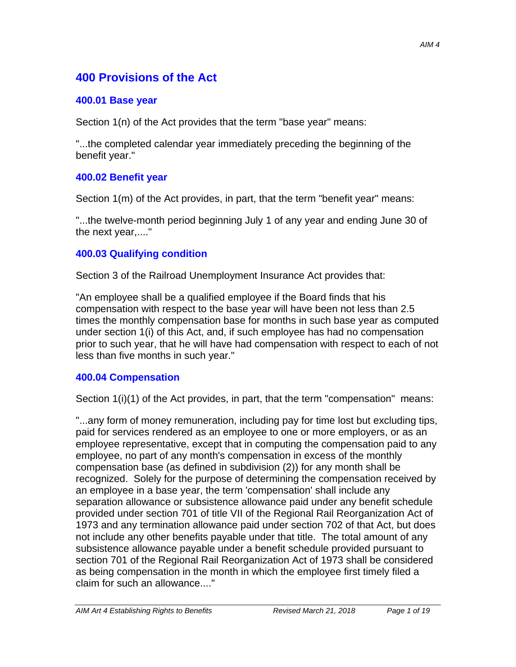# **400 Provisions of the Act**

## **400.01 Base year**

Section 1(n) of the Act provides that the term "base year" means:

"...the completed calendar year immediately preceding the beginning of the benefit year."

## **400.02 Benefit year**

Section 1(m) of the Act provides, in part, that the term "benefit year" means:

"...the twelve-month period beginning July 1 of any year and ending June 30 of the next year,...."

## **400.03 Qualifying condition**

Section 3 of the Railroad Unemployment Insurance Act provides that:

"An employee shall be a qualified employee if the Board finds that his compensation with respect to the base year will have been not less than 2.5 times the monthly compensation base for months in such base year as computed under section 1(i) of this Act, and, if such employee has had no compensation prior to such year, that he will have had compensation with respect to each of not less than five months in such year."

## **400.04 Compensation**

Section 1(i)(1) of the Act provides, in part, that the term "compensation" means:

"...any form of money remuneration, including pay for time lost but excluding tips, paid for services rendered as an employee to one or more employers, or as an employee representative, except that in computing the compensation paid to any employee, no part of any month's compensation in excess of the monthly compensation base (as defined in subdivision (2)) for any month shall be recognized. Solely for the purpose of determining the compensation received by an employee in a base year, the term 'compensation' shall include any separation allowance or subsistence allowance paid under any benefit schedule provided under section 701 of title VII of the Regional Rail Reorganization Act of 1973 and any termination allowance paid under section 702 of that Act, but does not include any other benefits payable under that title. The total amount of any subsistence allowance payable under a benefit schedule provided pursuant to section 701 of the Regional Rail Reorganization Act of 1973 shall be considered as being compensation in the month in which the employee first timely filed a claim for such an allowance...."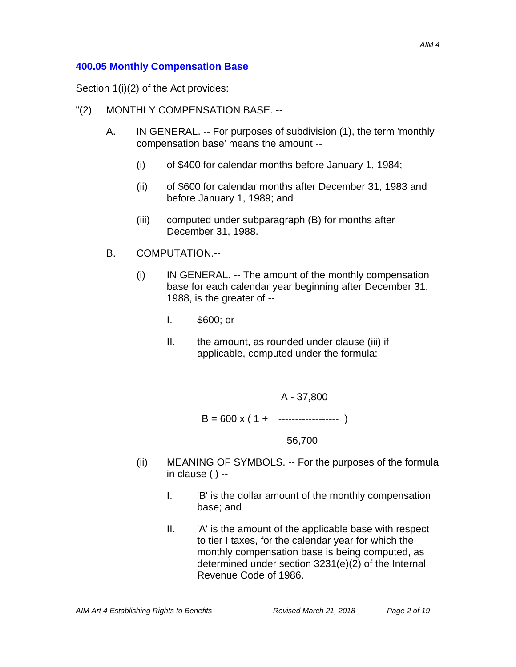#### **400.05 Monthly Compensation Base**

Section 1(i)(2) of the Act provides:

- "(2) MONTHLY COMPENSATION BASE. --
	- A. IN GENERAL. -- For purposes of subdivision (1), the term 'monthly compensation base' means the amount --
		- (i) of \$400 for calendar months before January 1, 1984;
		- (ii) of \$600 for calendar months after December 31, 1983 and before January 1, 1989; and
		- (iii) computed under subparagraph (B) for months after December 31, 1988.
	- B. COMPUTATION.--
		- (i) IN GENERAL. -- The amount of the monthly compensation base for each calendar year beginning after December 31, 1988, is the greater of --
			- I. \$600; or
			- II. the amount, as rounded under clause (iii) if applicable, computed under the formula:
				- A 37,800

$$
B = 600 \times (1 + \cdots + \cdots)
$$

56,700

- (ii) MEANING OF SYMBOLS. -- For the purposes of the formula in clause (i) --
	- I. 'B' is the dollar amount of the monthly compensation base; and
	- II. 'A' is the amount of the applicable base with respect to tier I taxes, for the calendar year for which the monthly compensation base is being computed, as determined under section 3231(e)(2) of the Internal Revenue Code of 1986.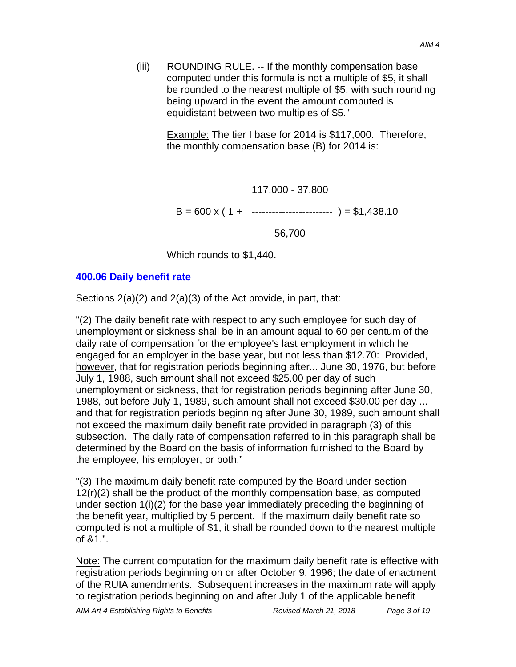(iii) ROUNDING RULE. -- If the monthly compensation base computed under this formula is not a multiple of \$5, it shall be rounded to the nearest multiple of \$5, with such rounding being upward in the event the amount computed is equidistant between two multiples of \$5."

> Example: The tier I base for 2014 is \$117,000. Therefore, the monthly compensation base (B) for 2014 is:

> > 117,000 - 37,800

 $B = 600 \times (1 + \dots + \dots + \dots + \dots) = $1,438.10$ 

56,700

Which rounds to \$1,440.

#### **400.06 Daily benefit rate**

Sections 2(a)(2) and 2(a)(3) of the Act provide, in part, that:

"(2) The daily benefit rate with respect to any such employee for such day of unemployment or sickness shall be in an amount equal to 60 per centum of the daily rate of compensation for the employee's last employment in which he engaged for an employer in the base year, but not less than \$12.70: Provided, however, that for registration periods beginning after... June 30, 1976, but before July 1, 1988, such amount shall not exceed \$25.00 per day of such unemployment or sickness, that for registration periods beginning after June 30, 1988, but before July 1, 1989, such amount shall not exceed \$30.00 per day ... and that for registration periods beginning after June 30, 1989, such amount shall not exceed the maximum daily benefit rate provided in paragraph (3) of this subsection. The daily rate of compensation referred to in this paragraph shall be determined by the Board on the basis of information furnished to the Board by the employee, his employer, or both."

"(3) The maximum daily benefit rate computed by the Board under section 12(r)(2) shall be the product of the monthly compensation base, as computed under section 1(i)(2) for the base year immediately preceding the beginning of the benefit year, multiplied by 5 percent. If the maximum daily benefit rate so computed is not a multiple of \$1, it shall be rounded down to the nearest multiple of &1.".

Note: The current computation for the maximum daily benefit rate is effective with registration periods beginning on or after October 9, 1996; the date of enactment of the RUIA amendments. Subsequent increases in the maximum rate will apply to registration periods beginning on and after July 1 of the applicable benefit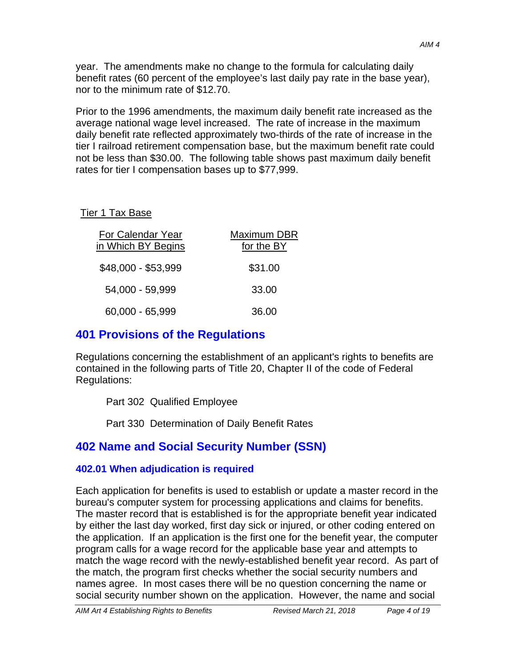year. The amendments make no change to the formula for calculating daily benefit rates (60 percent of the employee's last daily pay rate in the base year), nor to the minimum rate of \$12.70.

Prior to the 1996 amendments, the maximum daily benefit rate increased as the average national wage level increased. The rate of increase in the maximum daily benefit rate reflected approximately two-thirds of the rate of increase in the tier I railroad retirement compensation base, but the maximum benefit rate could not be less than \$30.00. The following table shows past maximum daily benefit rates for tier I compensation bases up to \$77,999.

## Tier 1 Tax Base

| For Calendar Year<br>in Which BY Begins | <b>Maximum DBR</b><br>for the BY |
|-----------------------------------------|----------------------------------|
| \$48,000 - \$53,999                     | \$31.00                          |
| 54,000 - 59,999                         | 33.00                            |
| 60,000 - 65,999                         | 36.00                            |

# **401 Provisions of the Regulations**

Regulations concerning the establishment of an applicant's rights to benefits are contained in the following parts of Title 20, Chapter II of the code of Federal Regulations:

Part 302 Qualified Employee

Part 330 Determination of Daily Benefit Rates

# **402 Name and Social Security Number (SSN)**

# **402.01 When adjudication is required**

Each application for benefits is used to establish or update a master record in the bureau's computer system for processing applications and claims for benefits. The master record that is established is for the appropriate benefit year indicated by either the last day worked, first day sick or injured, or other coding entered on the application. If an application is the first one for the benefit year, the computer program calls for a wage record for the applicable base year and attempts to match the wage record with the newly-established benefit year record. As part of the match, the program first checks whether the social security numbers and names agree. In most cases there will be no question concerning the name or social security number shown on the application. However, the name and social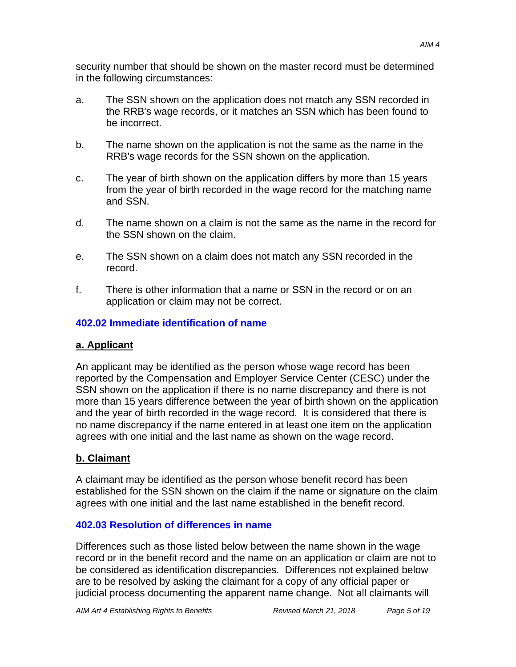security number that should be shown on the master record must be determined in the following circumstances:

- a. The SSN shown on the application does not match any SSN recorded in the RRB's wage records, or it matches an SSN which has been found to be incorrect.
- b. The name shown on the application is not the same as the name in the RRB's wage records for the SSN shown on the application.
- c. The year of birth shown on the application differs by more than 15 years from the year of birth recorded in the wage record for the matching name and SSN.
- d. The name shown on a claim is not the same as the name in the record for the SSN shown on the claim.
- e. The SSN shown on a claim does not match any SSN recorded in the record.
- f. There is other information that a name or SSN in the record or on an application or claim may not be correct.

# **402.02 Immediate identification of name**

# **a. Applicant**

An applicant may be identified as the person whose wage record has been reported by the Compensation and Employer Service Center (CESC) under the SSN shown on the application if there is no name discrepancy and there is not more than 15 years difference between the year of birth shown on the application and the year of birth recorded in the wage record. It is considered that there is no name discrepancy if the name entered in at least one item on the application agrees with one initial and the last name as shown on the wage record.

# **b. Claimant**

A claimant may be identified as the person whose benefit record has been established for the SSN shown on the claim if the name or signature on the claim agrees with one initial and the last name established in the benefit record.

# **402.03 Resolution of differences in name**

Differences such as those listed below between the name shown in the wage record or in the benefit record and the name on an application or claim are not to be considered as identification discrepancies. Differences not explained below are to be resolved by asking the claimant for a copy of any official paper or judicial process documenting the apparent name change. Not all claimants will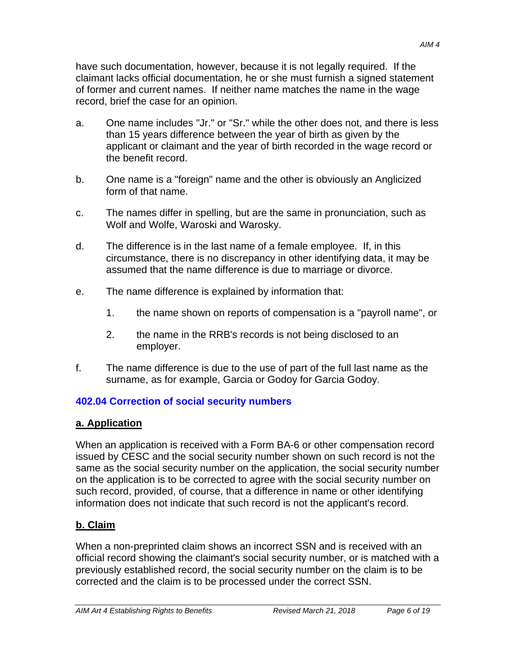have such documentation, however, because it is not legally required. If the claimant lacks official documentation, he or she must furnish a signed statement of former and current names. If neither name matches the name in the wage record, brief the case for an opinion.

- a. One name includes "Jr." or "Sr." while the other does not, and there is less than 15 years difference between the year of birth as given by the applicant or claimant and the year of birth recorded in the wage record or the benefit record.
- b. One name is a "foreign" name and the other is obviously an Anglicized form of that name.
- c. The names differ in spelling, but are the same in pronunciation, such as Wolf and Wolfe, Waroski and Warosky.
- d. The difference is in the last name of a female employee. If, in this circumstance, there is no discrepancy in other identifying data, it may be assumed that the name difference is due to marriage or divorce.
- e. The name difference is explained by information that:
	- 1. the name shown on reports of compensation is a "payroll name", or
	- 2. the name in the RRB's records is not being disclosed to an employer.
- f. The name difference is due to the use of part of the full last name as the surname, as for example, Garcia or Godoy for Garcia Godoy.

## **402.04 Correction of social security numbers**

## **a. Application**

When an application is received with a Form BA-6 or other compensation record issued by CESC and the social security number shown on such record is not the same as the social security number on the application, the social security number on the application is to be corrected to agree with the social security number on such record, provided, of course, that a difference in name or other identifying information does not indicate that such record is not the applicant's record.

# **b. Claim**

When a non-preprinted claim shows an incorrect SSN and is received with an official record showing the claimant's social security number, or is matched with a previously established record, the social security number on the claim is to be corrected and the claim is to be processed under the correct SSN.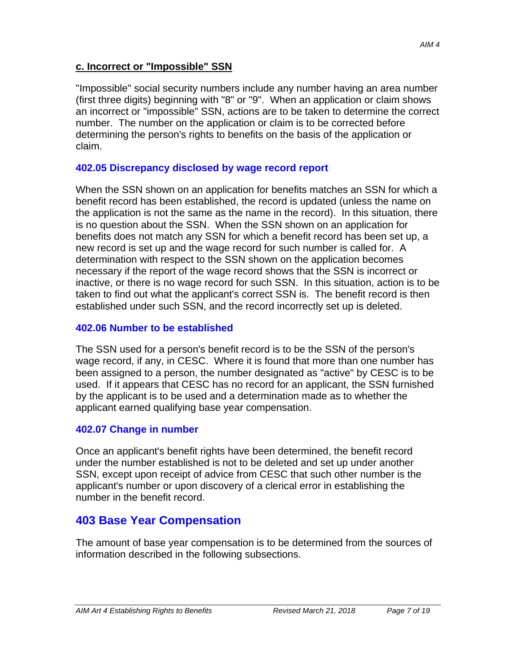#### **c. Incorrect or "Impossible" SSN**

"Impossible" social security numbers include any number having an area number (first three digits) beginning with "8" or "9". When an application or claim shows an incorrect or "impossible" SSN, actions are to be taken to determine the correct number. The number on the application or claim is to be corrected before determining the person's rights to benefits on the basis of the application or claim.

#### **402.05 Discrepancy disclosed by wage record report**

When the SSN shown on an application for benefits matches an SSN for which a benefit record has been established, the record is updated (unless the name on the application is not the same as the name in the record). In this situation, there is no question about the SSN. When the SSN shown on an application for benefits does not match any SSN for which a benefit record has been set up, a new record is set up and the wage record for such number is called for. A determination with respect to the SSN shown on the application becomes necessary if the report of the wage record shows that the SSN is incorrect or inactive, or there is no wage record for such SSN. In this situation, action is to be taken to find out what the applicant's correct SSN is. The benefit record is then established under such SSN, and the record incorrectly set up is deleted.

#### **402.06 Number to be established**

The SSN used for a person's benefit record is to be the SSN of the person's wage record, if any, in CESC. Where it is found that more than one number has been assigned to a person, the number designated as "active" by CESC is to be used. If it appears that CESC has no record for an applicant, the SSN furnished by the applicant is to be used and a determination made as to whether the applicant earned qualifying base year compensation.

#### **402.07 Change in number**

Once an applicant's benefit rights have been determined, the benefit record under the number established is not to be deleted and set up under another SSN, except upon receipt of advice from CESC that such other number is the applicant's number or upon discovery of a clerical error in establishing the number in the benefit record.

# **403 Base Year Compensation**

The amount of base year compensation is to be determined from the sources of information described in the following subsections.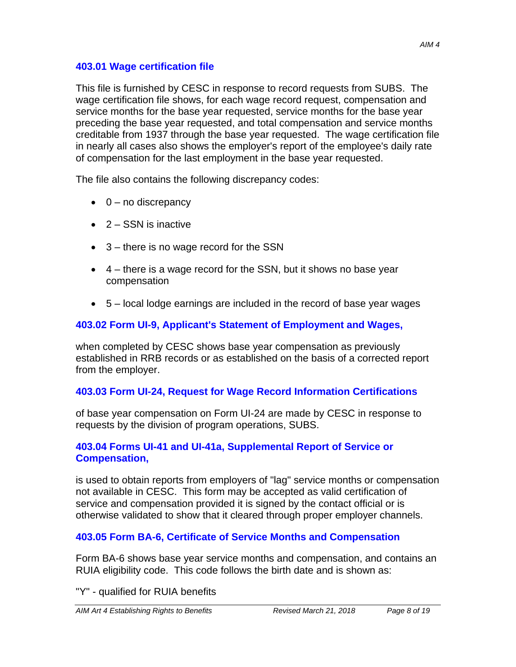This file is furnished by CESC in response to record requests from SUBS. The wage certification file shows, for each wage record request, compensation and service months for the base year requested, service months for the base year preceding the base year requested, and total compensation and service months creditable from 1937 through the base year requested. The wage certification file in nearly all cases also shows the employer's report of the employee's daily rate of compensation for the last employment in the base year requested.

The file also contains the following discrepancy codes:

- $\bullet$  0 no discrepancy
- $\bullet$  2 SSN is inactive
- 3 there is no wage record for the SSN
- $\bullet$  4 there is a wage record for the SSN, but it shows no base year compensation
- $\bullet$  5 local lodge earnings are included in the record of base year wages

## **403.02 Form UI-9, Applicant's Statement of Employment and Wages,**

when completed by CESC shows base year compensation as previously established in RRB records or as established on the basis of a corrected report from the employer.

## **403.03 Form UI-24, Request for Wage Record Information Certifications**

of base year compensation on Form UI-24 are made by CESC in response to requests by the division of program operations, SUBS.

#### **403.04 Forms UI-41 and UI-41a, Supplemental Report of Service or Compensation,**

is used to obtain reports from employers of "lag" service months or compensation not available in CESC. This form may be accepted as valid certification of service and compensation provided it is signed by the contact official or is otherwise validated to show that it cleared through proper employer channels.

## **403.05 Form BA-6, Certificate of Service Months and Compensation**

Form BA-6 shows base year service months and compensation, and contains an RUIA eligibility code. This code follows the birth date and is shown as:

"Y" - qualified for RUIA benefits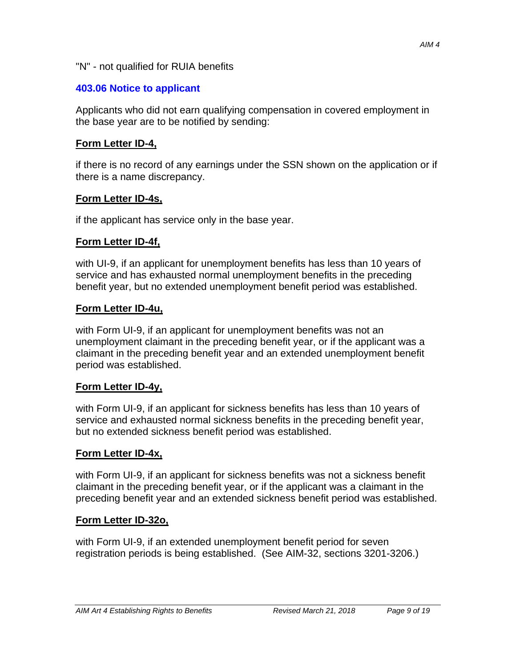#### "N" - not qualified for RUIA benefits

## **403.06 Notice to applicant**

Applicants who did not earn qualifying compensation in covered employment in the base year are to be notified by sending:

## **Form Letter ID-4,**

if there is no record of any earnings under the SSN shown on the application or if there is a name discrepancy.

## **Form Letter ID-4s,**

if the applicant has service only in the base year.

## **Form Letter ID-4f,**

with UI-9, if an applicant for unemployment benefits has less than 10 years of service and has exhausted normal unemployment benefits in the preceding benefit year, but no extended unemployment benefit period was established.

## **Form Letter ID-4u,**

with Form UI-9, if an applicant for unemployment benefits was not an unemployment claimant in the preceding benefit year, or if the applicant was a claimant in the preceding benefit year and an extended unemployment benefit period was established.

## **Form Letter ID-4y,**

with Form UI-9, if an applicant for sickness benefits has less than 10 years of service and exhausted normal sickness benefits in the preceding benefit year, but no extended sickness benefit period was established.

## **Form Letter ID-4x,**

with Form UI-9, if an applicant for sickness benefits was not a sickness benefit claimant in the preceding benefit year, or if the applicant was a claimant in the preceding benefit year and an extended sickness benefit period was established.

# **Form Letter ID-32o,**

with Form UI-9, if an extended unemployment benefit period for seven registration periods is being established. (See AIM-32, sections 3201-3206.)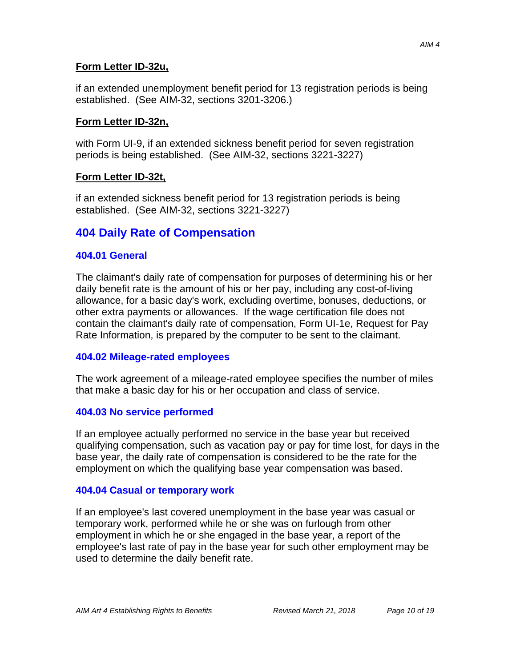#### **Form Letter ID-32u,**

if an extended unemployment benefit period for 13 registration periods is being established. (See AIM-32, sections 3201-3206.)

## **Form Letter ID-32n,**

with Form UI-9, if an extended sickness benefit period for seven registration periods is being established. (See AIM-32, sections 3221-3227)

## **Form Letter ID-32t,**

if an extended sickness benefit period for 13 registration periods is being established. (See AIM-32, sections 3221-3227)

# **404 Daily Rate of Compensation**

#### **404.01 General**

The claimant's daily rate of compensation for purposes of determining his or her daily benefit rate is the amount of his or her pay, including any cost-of-living allowance, for a basic day's work, excluding overtime, bonuses, deductions, or other extra payments or allowances. If the wage certification file does not contain the claimant's daily rate of compensation, Form UI-1e, Request for Pay Rate Information, is prepared by the computer to be sent to the claimant.

## **404.02 Mileage-rated employees**

The work agreement of a mileage-rated employee specifies the number of miles that make a basic day for his or her occupation and class of service.

## **404.03 No service performed**

If an employee actually performed no service in the base year but received qualifying compensation, such as vacation pay or pay for time lost, for days in the base year, the daily rate of compensation is considered to be the rate for the employment on which the qualifying base year compensation was based.

#### **404.04 Casual or temporary work**

If an employee's last covered unemployment in the base year was casual or temporary work, performed while he or she was on furlough from other employment in which he or she engaged in the base year, a report of the employee's last rate of pay in the base year for such other employment may be used to determine the daily benefit rate.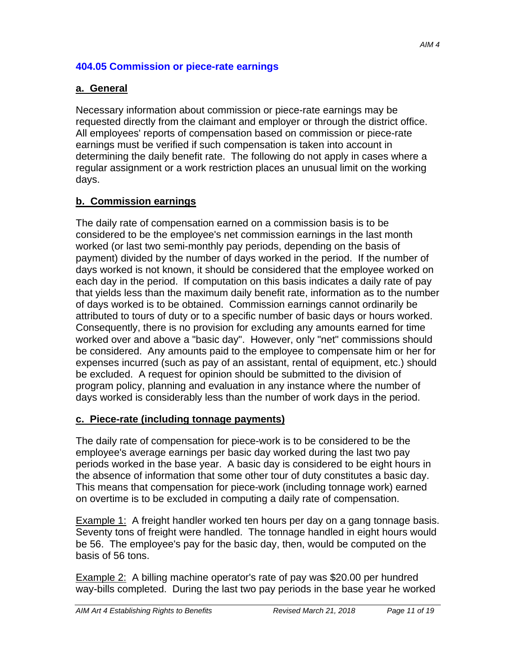#### **404.05 Commission or piece-rate earnings**

#### **a. General**

Necessary information about commission or piece-rate earnings may be requested directly from the claimant and employer or through the district office. All employees' reports of compensation based on commission or piece-rate earnings must be verified if such compensation is taken into account in determining the daily benefit rate. The following do not apply in cases where a regular assignment or a work restriction places an unusual limit on the working days.

#### **b. Commission earnings**

The daily rate of compensation earned on a commission basis is to be considered to be the employee's net commission earnings in the last month worked (or last two semi-monthly pay periods, depending on the basis of payment) divided by the number of days worked in the period. If the number of days worked is not known, it should be considered that the employee worked on each day in the period. If computation on this basis indicates a daily rate of pay that yields less than the maximum daily benefit rate, information as to the number of days worked is to be obtained. Commission earnings cannot ordinarily be attributed to tours of duty or to a specific number of basic days or hours worked. Consequently, there is no provision for excluding any amounts earned for time worked over and above a "basic day". However, only "net" commissions should be considered. Any amounts paid to the employee to compensate him or her for expenses incurred (such as pay of an assistant, rental of equipment, etc.) should be excluded. A request for opinion should be submitted to the division of program policy, planning and evaluation in any instance where the number of days worked is considerably less than the number of work days in the period.

#### **c. Piece-rate (including tonnage payments)**

The daily rate of compensation for piece-work is to be considered to be the employee's average earnings per basic day worked during the last two pay periods worked in the base year. A basic day is considered to be eight hours in the absence of information that some other tour of duty constitutes a basic day. This means that compensation for piece-work (including tonnage work) earned on overtime is to be excluded in computing a daily rate of compensation.

Example 1: A freight handler worked ten hours per day on a gang tonnage basis. Seventy tons of freight were handled. The tonnage handled in eight hours would be 56. The employee's pay for the basic day, then, would be computed on the basis of 56 tons.

Example 2: A billing machine operator's rate of pay was \$20.00 per hundred way-bills completed. During the last two pay periods in the base year he worked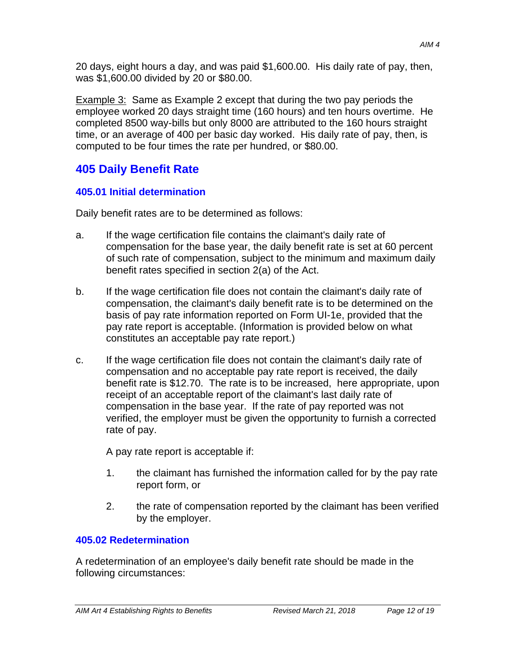20 days, eight hours a day, and was paid \$1,600.00. His daily rate of pay, then, was \$1,600.00 divided by 20 or \$80.00.

Example 3: Same as Example 2 except that during the two pay periods the employee worked 20 days straight time (160 hours) and ten hours overtime. He completed 8500 way-bills but only 8000 are attributed to the 160 hours straight time, or an average of 400 per basic day worked. His daily rate of pay, then, is computed to be four times the rate per hundred, or \$80.00.

# **405 Daily Benefit Rate**

# **405.01 Initial determination**

Daily benefit rates are to be determined as follows:

- a. If the wage certification file contains the claimant's daily rate of compensation for the base year, the daily benefit rate is set at 60 percent of such rate of compensation, subject to the minimum and maximum daily benefit rates specified in section 2(a) of the Act.
- b. If the wage certification file does not contain the claimant's daily rate of compensation, the claimant's daily benefit rate is to be determined on the basis of pay rate information reported on Form UI-1e, provided that the pay rate report is acceptable. (Information is provided below on what constitutes an acceptable pay rate report.)
- c. If the wage certification file does not contain the claimant's daily rate of compensation and no acceptable pay rate report is received, the daily benefit rate is \$12.70. The rate is to be increased, here appropriate, upon receipt of an acceptable report of the claimant's last daily rate of compensation in the base year. If the rate of pay reported was not verified, the employer must be given the opportunity to furnish a corrected rate of pay.

A pay rate report is acceptable if:

- 1. the claimant has furnished the information called for by the pay rate report form, or
- 2. the rate of compensation reported by the claimant has been verified by the employer.

# **405.02 Redetermination**

A redetermination of an employee's daily benefit rate should be made in the following circumstances: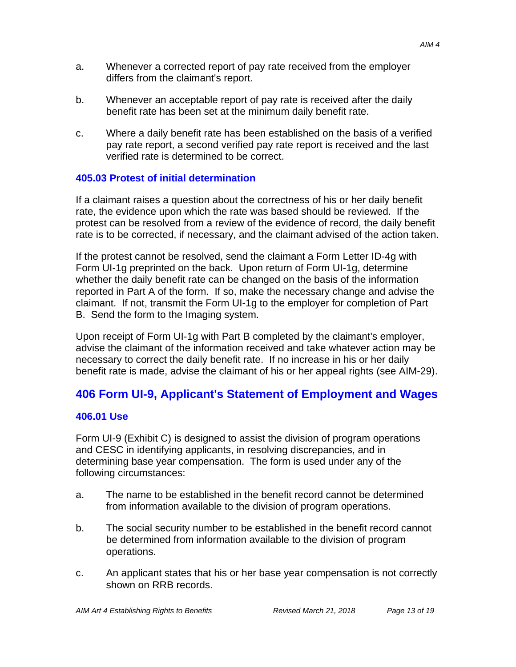- a. Whenever a corrected report of pay rate received from the employer differs from the claimant's report.
- b. Whenever an acceptable report of pay rate is received after the daily benefit rate has been set at the minimum daily benefit rate.
- c. Where a daily benefit rate has been established on the basis of a verified pay rate report, a second verified pay rate report is received and the last verified rate is determined to be correct.

## **405.03 Protest of initial determination**

If a claimant raises a question about the correctness of his or her daily benefit rate, the evidence upon which the rate was based should be reviewed. If the protest can be resolved from a review of the evidence of record, the daily benefit rate is to be corrected, if necessary, and the claimant advised of the action taken.

If the protest cannot be resolved, send the claimant a Form Letter ID-4g with Form UI-1g preprinted on the back. Upon return of Form UI-1g, determine whether the daily benefit rate can be changed on the basis of the information reported in Part A of the form. If so, make the necessary change and advise the claimant. If not, transmit the Form UI-1g to the employer for completion of Part B. Send the form to the Imaging system.

Upon receipt of Form UI-1g with Part B completed by the claimant's employer, advise the claimant of the information received and take whatever action may be necessary to correct the daily benefit rate. If no increase in his or her daily benefit rate is made, advise the claimant of his or her appeal rights (see AIM-29).

# **406 Form UI-9, Applicant's Statement of Employment and Wages**

## **406.01 Use**

Form UI-9 (Exhibit C) is designed to assist the division of program operations and CESC in identifying applicants, in resolving discrepancies, and in determining base year compensation. The form is used under any of the following circumstances:

- a. The name to be established in the benefit record cannot be determined from information available to the division of program operations.
- b. The social security number to be established in the benefit record cannot be determined from information available to the division of program operations.
- c. An applicant states that his or her base year compensation is not correctly shown on RRB records.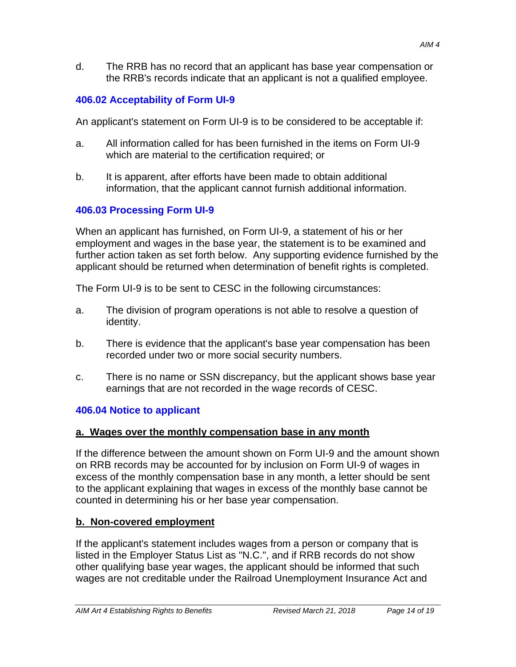d. The RRB has no record that an applicant has base year compensation or the RRB's records indicate that an applicant is not a qualified employee.

# **406.02 Acceptability of Form UI-9**

An applicant's statement on Form UI-9 is to be considered to be acceptable if:

- a. All information called for has been furnished in the items on Form UI-9 which are material to the certification required; or
- b. It is apparent, after efforts have been made to obtain additional information, that the applicant cannot furnish additional information.

# **406.03 Processing Form UI-9**

When an applicant has furnished, on Form UI-9, a statement of his or her employment and wages in the base year, the statement is to be examined and further action taken as set forth below. Any supporting evidence furnished by the applicant should be returned when determination of benefit rights is completed.

The Form UI-9 is to be sent to CESC in the following circumstances:

- a. The division of program operations is not able to resolve a question of identity.
- b. There is evidence that the applicant's base year compensation has been recorded under two or more social security numbers.
- c. There is no name or SSN discrepancy, but the applicant shows base year earnings that are not recorded in the wage records of CESC.

# **406.04 Notice to applicant**

## **a. Wages over the monthly compensation base in any month**

If the difference between the amount shown on Form UI-9 and the amount shown on RRB records may be accounted for by inclusion on Form UI-9 of wages in excess of the monthly compensation base in any month, a letter should be sent to the applicant explaining that wages in excess of the monthly base cannot be counted in determining his or her base year compensation.

## **b. Non-covered employment**

If the applicant's statement includes wages from a person or company that is listed in the Employer Status List as "N.C.", and if RRB records do not show other qualifying base year wages, the applicant should be informed that such wages are not creditable under the Railroad Unemployment Insurance Act and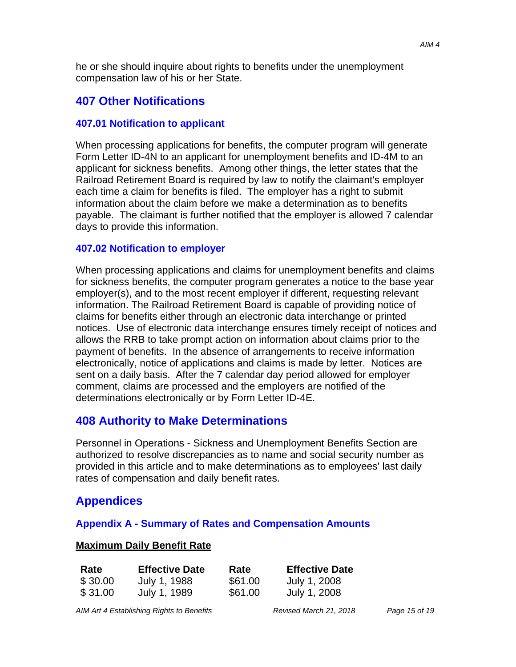he or she should inquire about rights to benefits under the unemployment compensation law of his or her State.

# **407 Other Notifications**

#### **407.01 Notification to applicant**

When processing applications for benefits, the computer program will generate Form Letter ID-4N to an applicant for unemployment benefits and ID-4M to an applicant for sickness benefits. Among other things, the letter states that the Railroad Retirement Board is required by law to notify the claimant's employer each time a claim for benefits is filed. The employer has a right to submit information about the claim before we make a determination as to benefits payable. The claimant is further notified that the employer is allowed 7 calendar days to provide this information.

#### **407.02 Notification to employer**

When processing applications and claims for unemployment benefits and claims for sickness benefits, the computer program generates a notice to the base year employer(s), and to the most recent employer if different, requesting relevant information. The Railroad Retirement Board is capable of providing notice of claims for benefits either through an electronic data interchange or printed notices. Use of electronic data interchange ensures timely receipt of notices and allows the RRB to take prompt action on information about claims prior to the payment of benefits. In the absence of arrangements to receive information electronically, notice of applications and claims is made by letter. Notices are sent on a daily basis. After the 7 calendar day period allowed for employer comment, claims are processed and the employers are notified of the determinations electronically or by Form Letter ID-4E.

# **408 Authority to Make Determinations**

Personnel in Operations - Sickness and Unemployment Benefits Section are authorized to resolve discrepancies as to name and social security number as provided in this article and to make determinations as to employees' last daily rates of compensation and daily benefit rates.

# **Appendices**

#### **Appendix A - Summary of Rates and Compensation Amounts**

#### **Maximum Daily Benefit Rate**

| Rate    | <b>Effective Date</b> | Rate    | <b>Effective Date</b> |
|---------|-----------------------|---------|-----------------------|
| \$30.00 | July 1, 1988          | \$61.00 | July 1, 2008          |
| \$31.00 | July 1, 1989          | \$61.00 | July 1, 2008          |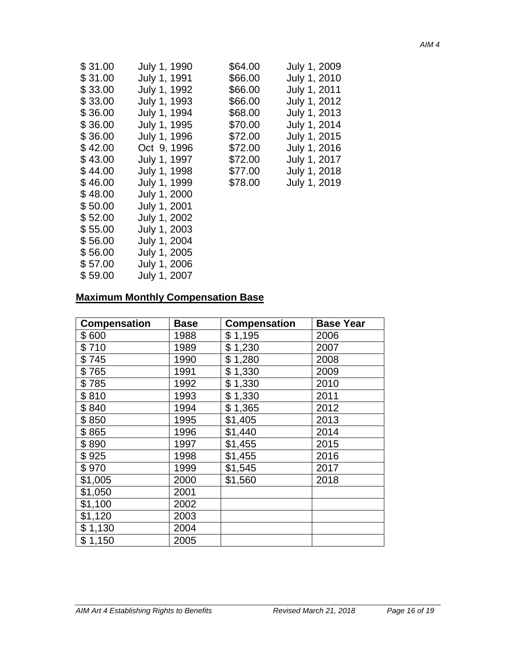| \$31.00 | July 1, 1990 | \$64.00 | July 1, 2009 |
|---------|--------------|---------|--------------|
| \$31.00 | July 1, 1991 | \$66.00 | July 1, 2010 |
| \$33.00 | July 1, 1992 | \$66.00 | July 1, 2011 |
| \$33.00 | July 1, 1993 | \$66.00 | July 1, 2012 |
| \$36.00 | July 1, 1994 | \$68.00 | July 1, 2013 |
| \$36.00 | July 1, 1995 | \$70.00 | July 1, 2014 |
| \$36.00 | July 1, 1996 | \$72.00 | July 1, 2015 |
| \$42.00 | Oct 9, 1996  | \$72.00 | July 1, 2016 |
| \$43.00 | July 1, 1997 | \$72.00 | July 1, 2017 |
| \$44.00 | July 1, 1998 | \$77.00 | July 1, 2018 |
| \$46.00 | July 1, 1999 | \$78.00 | July 1, 2019 |
| \$48.00 | July 1, 2000 |         |              |
| \$50.00 | July 1, 2001 |         |              |
| \$52.00 | July 1, 2002 |         |              |
| \$55.00 | July 1, 2003 |         |              |
| \$56.00 | July 1, 2004 |         |              |
| \$56.00 | July 1, 2005 |         |              |
| \$57.00 | July 1, 2006 |         |              |
| \$59.00 | July 1, 2007 |         |              |

# **Maximum Monthly Compensation Base**

| <b>Compensation</b> | <b>Base</b> | <b>Compensation</b> | <b>Base Year</b> |
|---------------------|-------------|---------------------|------------------|
| \$600               | 1988        | \$1,195             | 2006             |
| \$710               | 1989        | \$1,230             | 2007             |
| \$745               | 1990        | \$1,280             | 2008             |
| \$765               | 1991        | \$1,330             | 2009             |
| \$785               | 1992        | \$1,330             | 2010             |
| \$810               | 1993        | \$1,330             | 2011             |
| \$840               | 1994        | \$1,365             | 2012             |
| \$850               | 1995        | \$1,405             | 2013             |
| \$865               | 1996        | \$1,440             | 2014             |
| \$890               | 1997        | \$1,455             | 2015             |
| \$925               | 1998        | \$1,455             | 2016             |
| \$970               | 1999        | \$1,545             | 2017             |
| \$1,005             | 2000        | \$1,560             | 2018             |
| \$1,050             | 2001        |                     |                  |
| \$1,100             | 2002        |                     |                  |
| \$1,120             | 2003        |                     |                  |
| \$1,130             | 2004        |                     |                  |
| \$1,150             | 2005        |                     |                  |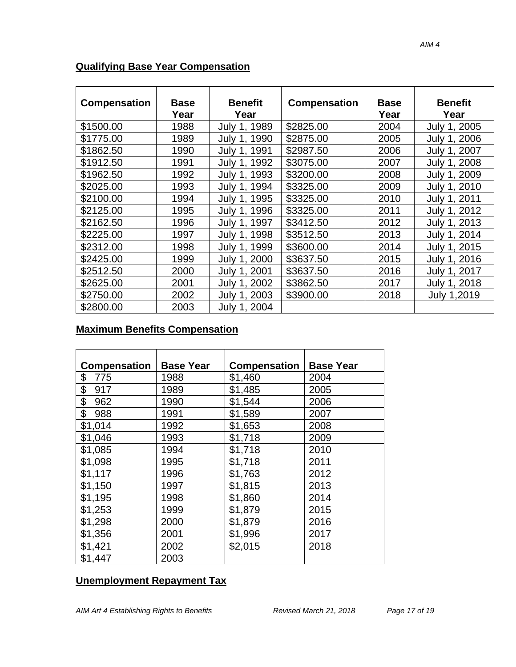| <b>Compensation</b> | <b>Base</b><br>Year | <b>Benefit</b><br>Year           | <b>Compensation</b> | <b>Base</b><br>Year | <b>Benefit</b><br>Year |
|---------------------|---------------------|----------------------------------|---------------------|---------------------|------------------------|
| \$1500.00           | 1988                | 1989<br>July 1.                  | \$2825.00           | 2004                | July 1, 2005           |
| \$1775.00           | 1989                | 1990<br>July 1,                  | \$2875.00           | 2005                | July 1, 2006           |
| \$1862.50           | 1990                | 1991<br>July 1.                  | \$2987.50           | 2006                | July 1, 2007           |
| \$1912.50           | 1991                | 1992<br>July 1,                  | \$3075.00           | 2007                | July 1, 2008           |
| \$1962.50           | 1992                | 1993<br>July 1.                  | \$3200.00           | 2008                | July 1, 2009           |
| \$2025.00           | 1993                | 1994<br>July<br>$-1.$            | \$3325.00           | 2009                | July 1, 2010           |
| \$2100.00           | 1994                | 1995<br>July<br>$\overline{1}$ . | \$3325.00           | 2010                | July 1, 2011           |
| \$2125.00           | 1995                | 1996<br>July<br>$-1.$            | \$3325.00           | 2011                | July 1, 2012           |
| \$2162.50           | 1996                | 1997<br>July<br>$-1.$            | \$3412.50           | 2012                | July 1, 2013           |
| \$2225.00           | 1997                | 1998<br>July<br>$-1.$            | \$3512.50           | 2013                | July 1, 2014           |
| \$2312.00           | 1998                | 1999<br>July 1.                  | \$3600.00           | 2014                | July 1, 2015           |
| \$2425.00           | 1999                | July 1, 2000                     | \$3637.50           | 2015                | July 1, 2016           |
| \$2512.50           | 2000                | July 1, 2001                     | \$3637.50           | 2016                | July 1, 2017           |
| \$2625.00           | 2001                | July 1, 2002                     | \$3862.50           | 2017                | July 1, 2018           |
| \$2750.00           | 2002                | July 1, 2003                     | \$3900.00           | 2018                | July 1,2019            |
| \$2800.00           | 2003                | July 1, 2004                     |                     |                     |                        |

## **Qualifying Base Year Compensation**

## **Maximum Benefits Compensation**

| <b>Compensation</b> | <b>Base Year</b> | <b>Compensation</b> | <b>Base Year</b> |
|---------------------|------------------|---------------------|------------------|
| \$<br>775           | 1988             | \$1,460             | 2004             |
| \$<br>917           | 1989             | \$1,485             | 2005             |
| \$<br>962           | 1990             | \$1,544             | 2006             |
| \$<br>988           | 1991             | \$1,589             | 2007             |
| \$1,014             | 1992             | \$1,653             | 2008             |
| \$1,046             | 1993             | \$1,718             | 2009             |
| \$1,085             | 1994             | \$1,718             | 2010             |
| \$1,098             | 1995             | \$1,718             | 2011             |
| \$1,117             | 1996             | \$1,763             | 2012             |
| \$1,150             | 1997             | \$1,815             | 2013             |
| \$1,195             | 1998             | \$1,860             | 2014             |
| \$1,253             | 1999             | \$1,879             | 2015             |
| \$1,298             | 2000             | \$1,879             | 2016             |
| \$1,356             | 2001             | \$1,996             | 2017             |
| \$1,421             | 2002             | \$2,015             | 2018             |
| \$1,447             | 2003             |                     |                  |

## **Unemployment Repayment Tax**